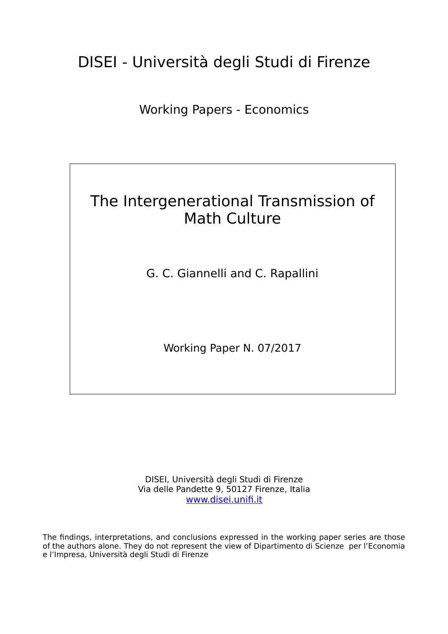# DISEI - Università degli Studi di Firenze

Working Papers - Economics

# The Intergenerational Transmission of Math Culture

G. C. Giannelli and C. Rapallini

Working Paper N. 07/2017

DISEI, Università degli Studi di Firenze Via delle Pandette 9, 50127 Firenze, Italia [www.disei.unifi.it](http://www.disei.unifi.it/)

The findings, interpretations, and conclusions expressed in the working paper series are those of the authors alone. They do not represent the view of Dipartimento di Scienze per l'Economia e l'Impresa, Università degli Studi di Firenze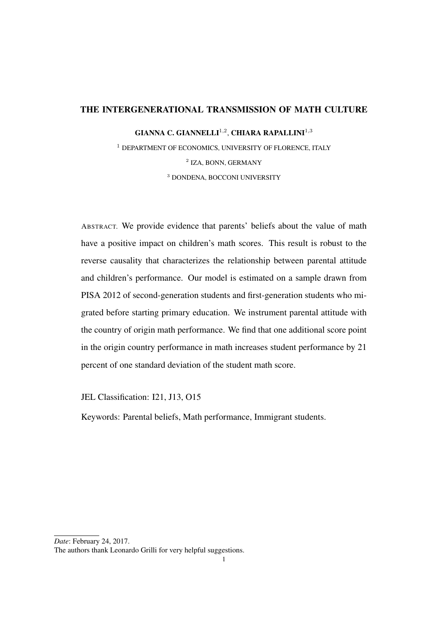# THE INTERGENERATIONAL TRANSMISSION OF MATH CULTURE

GIANNA C. GIANNELLI<sup>1,2</sup>, CHIARA RAPALLINI<sup>1,3</sup>

<sup>1</sup> DEPARTMENT OF ECONOMICS, UNIVERSITY OF FLORENCE, ITALY 2 IZA, BONN, GERMANY <sup>3</sup> DONDENA, BOCCONI UNIVERSITY

ABSTRACT. We provide evidence that parents' beliefs about the value of math have a positive impact on children's math scores. This result is robust to the reverse causality that characterizes the relationship between parental attitude and children's performance. Our model is estimated on a sample drawn from PISA 2012 of second-generation students and first-generation students who migrated before starting primary education. We instrument parental attitude with the country of origin math performance. We find that one additional score point in the origin country performance in math increases student performance by 21 percent of one standard deviation of the student math score.

JEL Classification: I21, J13, O15

Keywords: Parental beliefs, Math performance, Immigrant students.

*Date*: February 24, 2017.

The authors thank Leonardo Grilli for very helpful suggestions.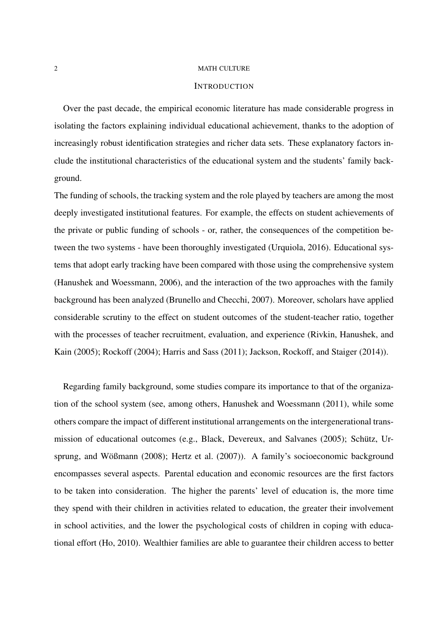# **INTRODUCTION**

Over the past decade, the empirical economic literature has made considerable progress in isolating the factors explaining individual educational achievement, thanks to the adoption of increasingly robust identification strategies and richer data sets. These explanatory factors include the institutional characteristics of the educational system and the students' family background.

The funding of schools, the tracking system and the role played by teachers are among the most deeply investigated institutional features. For example, the effects on student achievements of the private or public funding of schools - or, rather, the consequences of the competition between the two systems - have been thoroughly investigated (Urquiola, 2016). Educational systems that adopt early tracking have been compared with those using the comprehensive system (Hanushek and Woessmann, 2006), and the interaction of the two approaches with the family background has been analyzed (Brunello and Checchi, 2007). Moreover, scholars have applied considerable scrutiny to the effect on student outcomes of the student-teacher ratio, together with the processes of teacher recruitment, evaluation, and experience (Rivkin, Hanushek, and Kain (2005); Rockoff (2004); Harris and Sass (2011); Jackson, Rockoff, and Staiger (2014)).

Regarding family background, some studies compare its importance to that of the organization of the school system (see, among others, Hanushek and Woessmann (2011), while some others compare the impact of different institutional arrangements on the intergenerational transmission of educational outcomes (e.g., Black, Devereux, and Salvanes (2005); Schütz, Ursprung, and Wößmann (2008); Hertz et al. (2007)). A family's socioeconomic background encompasses several aspects. Parental education and economic resources are the first factors to be taken into consideration. The higher the parents' level of education is, the more time they spend with their children in activities related to education, the greater their involvement in school activities, and the lower the psychological costs of children in coping with educational effort (Ho, 2010). Wealthier families are able to guarantee their children access to better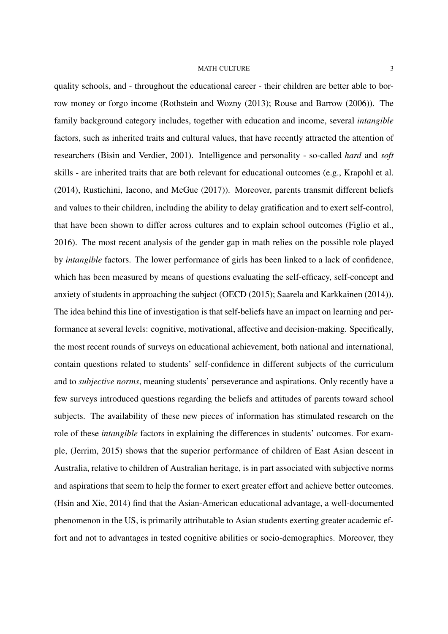quality schools, and - throughout the educational career - their children are better able to borrow money or forgo income (Rothstein and Wozny (2013); Rouse and Barrow (2006)). The family background category includes, together with education and income, several *intangible* factors, such as inherited traits and cultural values, that have recently attracted the attention of researchers (Bisin and Verdier, 2001). Intelligence and personality - so-called *hard* and *soft* skills - are inherited traits that are both relevant for educational outcomes (e.g., Krapohl et al. (2014), Rustichini, Iacono, and McGue (2017)). Moreover, parents transmit different beliefs and values to their children, including the ability to delay gratification and to exert self-control, that have been shown to differ across cultures and to explain school outcomes (Figlio et al., 2016). The most recent analysis of the gender gap in math relies on the possible role played by *intangible* factors. The lower performance of girls has been linked to a lack of confidence, which has been measured by means of questions evaluating the self-efficacy, self-concept and anxiety of students in approaching the subject (OECD (2015); Saarela and Karkkainen (2014)). The idea behind this line of investigation is that self-beliefs have an impact on learning and performance at several levels: cognitive, motivational, affective and decision-making. Specifically, the most recent rounds of surveys on educational achievement, both national and international, contain questions related to students' self-confidence in different subjects of the curriculum and to *subjective norms*, meaning students' perseverance and aspirations. Only recently have a few surveys introduced questions regarding the beliefs and attitudes of parents toward school subjects. The availability of these new pieces of information has stimulated research on the role of these *intangible* factors in explaining the differences in students' outcomes. For example, (Jerrim, 2015) shows that the superior performance of children of East Asian descent in Australia, relative to children of Australian heritage, is in part associated with subjective norms and aspirations that seem to help the former to exert greater effort and achieve better outcomes. (Hsin and Xie, 2014) find that the Asian-American educational advantage, a well-documented phenomenon in the US, is primarily attributable to Asian students exerting greater academic effort and not to advantages in tested cognitive abilities or socio-demographics. Moreover, they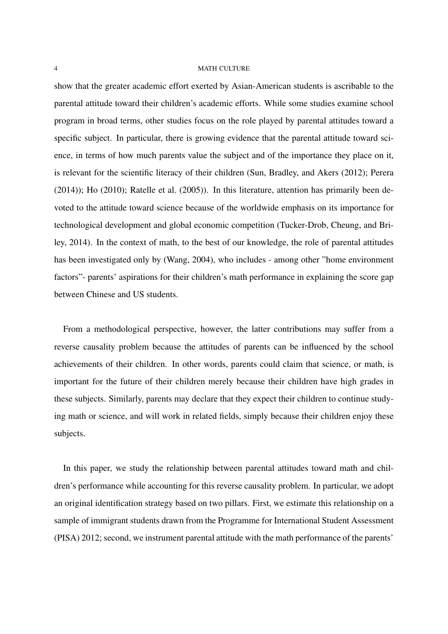show that the greater academic effort exerted by Asian-American students is ascribable to the parental attitude toward their children's academic efforts. While some studies examine school program in broad terms, other studies focus on the role played by parental attitudes toward a specific subject. In particular, there is growing evidence that the parental attitude toward science, in terms of how much parents value the subject and of the importance they place on it, is relevant for the scientific literacy of their children (Sun, Bradley, and Akers (2012); Perera (2014)); Ho (2010); Ratelle et al. (2005)). In this literature, attention has primarily been devoted to the attitude toward science because of the worldwide emphasis on its importance for technological development and global economic competition (Tucker-Drob, Cheung, and Briley, 2014). In the context of math, to the best of our knowledge, the role of parental attitudes has been investigated only by (Wang, 2004), who includes - among other "home environment factors"- parents' aspirations for their children's math performance in explaining the score gap between Chinese and US students.

From a methodological perspective, however, the latter contributions may suffer from a reverse causality problem because the attitudes of parents can be influenced by the school achievements of their children. In other words, parents could claim that science, or math, is important for the future of their children merely because their children have high grades in these subjects. Similarly, parents may declare that they expect their children to continue studying math or science, and will work in related fields, simply because their children enjoy these subjects.

In this paper, we study the relationship between parental attitudes toward math and children's performance while accounting for this reverse causality problem. In particular, we adopt an original identification strategy based on two pillars. First, we estimate this relationship on a sample of immigrant students drawn from the Programme for International Student Assessment (PISA) 2012; second, we instrument parental attitude with the math performance of the parents'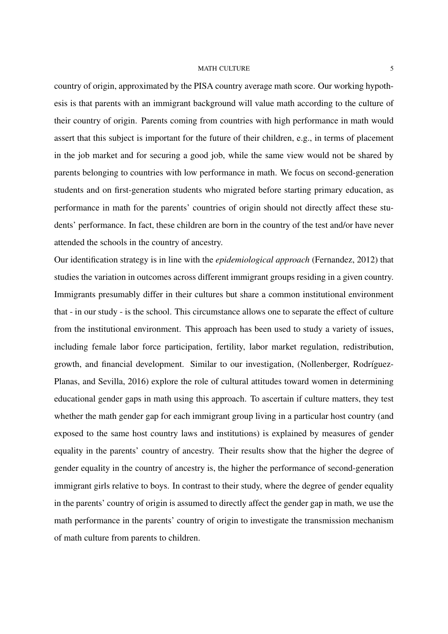country of origin, approximated by the PISA country average math score. Our working hypothesis is that parents with an immigrant background will value math according to the culture of their country of origin. Parents coming from countries with high performance in math would assert that this subject is important for the future of their children, e.g., in terms of placement in the job market and for securing a good job, while the same view would not be shared by parents belonging to countries with low performance in math. We focus on second-generation students and on first-generation students who migrated before starting primary education, as performance in math for the parents' countries of origin should not directly affect these students' performance. In fact, these children are born in the country of the test and/or have never attended the schools in the country of ancestry.

Our identification strategy is in line with the *epidemiological approach* (Fernandez, 2012) that studies the variation in outcomes across different immigrant groups residing in a given country. Immigrants presumably differ in their cultures but share a common institutional environment that - in our study - is the school. This circumstance allows one to separate the effect of culture from the institutional environment. This approach has been used to study a variety of issues, including female labor force participation, fertility, labor market regulation, redistribution, growth, and financial development. Similar to our investigation, (Nollenberger, Rodríguez-Planas, and Sevilla, 2016) explore the role of cultural attitudes toward women in determining educational gender gaps in math using this approach. To ascertain if culture matters, they test whether the math gender gap for each immigrant group living in a particular host country (and exposed to the same host country laws and institutions) is explained by measures of gender equality in the parents' country of ancestry. Their results show that the higher the degree of gender equality in the country of ancestry is, the higher the performance of second-generation immigrant girls relative to boys. In contrast to their study, where the degree of gender equality in the parents' country of origin is assumed to directly affect the gender gap in math, we use the math performance in the parents' country of origin to investigate the transmission mechanism of math culture from parents to children.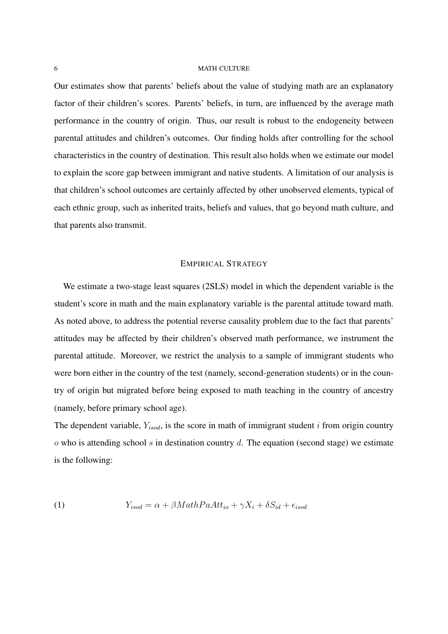Our estimates show that parents' beliefs about the value of studying math are an explanatory factor of their children's scores. Parents' beliefs, in turn, are influenced by the average math performance in the country of origin. Thus, our result is robust to the endogeneity between parental attitudes and children's outcomes. Our finding holds after controlling for the school characteristics in the country of destination. This result also holds when we estimate our model to explain the score gap between immigrant and native students. A limitation of our analysis is that children's school outcomes are certainly affected by other unobserved elements, typical of each ethnic group, such as inherited traits, beliefs and values, that go beyond math culture, and that parents also transmit.

# EMPIRICAL STRATEGY

We estimate a two-stage least squares (2SLS) model in which the dependent variable is the student's score in math and the main explanatory variable is the parental attitude toward math. As noted above, to address the potential reverse causality problem due to the fact that parents' attitudes may be affected by their children's observed math performance, we instrument the parental attitude. Moreover, we restrict the analysis to a sample of immigrant students who were born either in the country of the test (namely, second-generation students) or in the country of origin but migrated before being exposed to math teaching in the country of ancestry (namely, before primary school age).

The dependent variable,  $Y_{isod}$ , is the score in math of immigrant student *i* from origin country  $\alpha$  who is attending school s in destination country d. The equation (second stage) we estimate is the following:

(1) 
$$
Y_{isod} = \alpha + \beta MathPaAtt_{io} + \gamma X_i + \delta S_{id} + \epsilon_{isod}
$$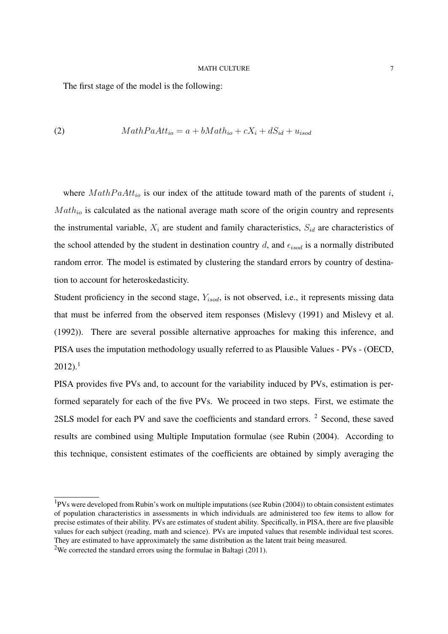The first stage of the model is the following:

(2) 
$$
MathPaAtt_{io} = a + bMath_{io} + cX_i + dS_{id} + u_{isod}
$$

where  $MathPaAtt_{io}$  is our index of the attitude toward math of the parents of student i,  $Math_{io}$  is calculated as the national average math score of the origin country and represents the instrumental variable,  $X_i$  are student and family characteristics,  $S_{id}$  are characteristics of the school attended by the student in destination country  $d$ , and  $\epsilon_{isod}$  is a normally distributed random error. The model is estimated by clustering the standard errors by country of destination to account for heteroskedasticity.

Student proficiency in the second stage,  $Y_{isod}$ , is not observed, i.e., it represents missing data that must be inferred from the observed item responses (Mislevy (1991) and Mislevy et al. (1992)). There are several possible alternative approaches for making this inference, and PISA uses the imputation methodology usually referred to as Plausible Values - PVs - (OECD,  $2012$ ).<sup>1</sup>

PISA provides five PVs and, to account for the variability induced by PVs, estimation is performed separately for each of the five PVs. We proceed in two steps. First, we estimate the 2SLS model for each PV and save the coefficients and standard errors. <sup>2</sup> Second, these saved results are combined using Multiple Imputation formulae (see Rubin (2004). According to this technique, consistent estimates of the coefficients are obtained by simply averaging the

<sup>1</sup>PVs were developed from Rubin's work on multiple imputations (see Rubin (2004)) to obtain consistent estimates of population characteristics in assessments in which individuals are administered too few items to allow for precise estimates of their ability. PVs are estimates of student ability. Specifically, in PISA, there are five plausible values for each subject (reading, math and science). PVs are imputed values that resemble individual test scores. They are estimated to have approximately the same distribution as the latent trait being measured.

<sup>&</sup>lt;sup>2</sup>We corrected the standard errors using the formulae in Baltagi (2011).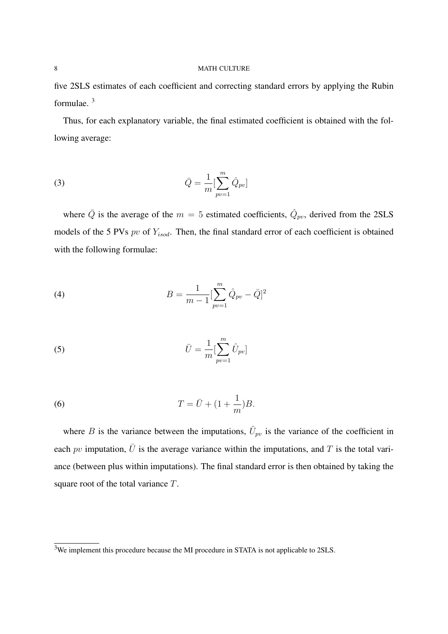five 2SLS estimates of each coefficient and correcting standard errors by applying the Rubin formulae. <sup>3</sup>

Thus, for each explanatory variable, the final estimated coefficient is obtained with the following average:

(3) 
$$
\bar{Q} = \frac{1}{m} \left[ \sum_{pv=1}^{m} \hat{Q}_{pv} \right]
$$

where  $\overline{Q}$  is the average of the  $m = 5$  estimated coefficients,  $\hat{Q}_{pv}$ , derived from the 2SLS models of the 5 PVs  $pv$  of  $Y_{isod}$ . Then, the final standard error of each coefficient is obtained with the following formulae:

(4) 
$$
B = \frac{1}{m-1} \left[ \sum_{pv=1}^{m} \hat{Q}_{pv} - \bar{Q} \right]^2
$$

(5) 
$$
\bar{U} = \frac{1}{m} \left[ \sum_{pv=1}^{m} \hat{U}_{pv} \right]
$$

(6) 
$$
T = \bar{U} + (1 + \frac{1}{m})B.
$$

where B is the variance between the imputations,  $\hat{U}_{pv}$  is the variance of the coefficient in each pv imputation,  $\bar{U}$  is the average variance within the imputations, and T is the total variance (between plus within imputations). The final standard error is then obtained by taking the square root of the total variance T.

<sup>&</sup>lt;sup>3</sup>We implement this procedure because the MI procedure in STATA is not applicable to 2SLS.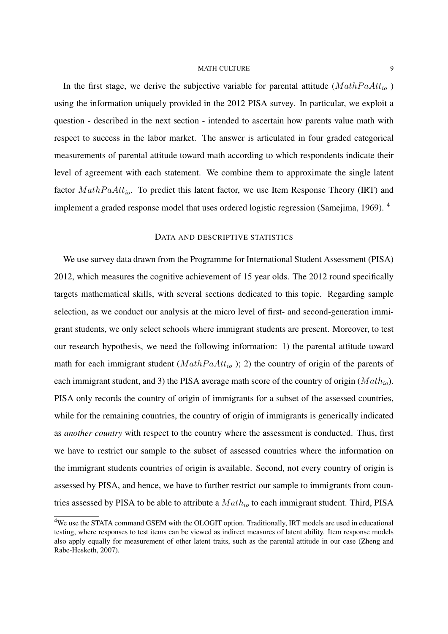In the first stage, we derive the subjective variable for parental attitude  $(MathPaAtt<sub>io</sub>)$ using the information uniquely provided in the 2012 PISA survey. In particular, we exploit a question - described in the next section - intended to ascertain how parents value math with respect to success in the labor market. The answer is articulated in four graded categorical measurements of parental attitude toward math according to which respondents indicate their level of agreement with each statement. We combine them to approximate the single latent factor  $MathPaAtt_{io}$ . To predict this latent factor, we use Item Response Theory (IRT) and implement a graded response model that uses ordered logistic regression (Samejima, 1969). <sup>4</sup>

# DATA AND DESCRIPTIVE STATISTICS

We use survey data drawn from the Programme for International Student Assessment (PISA) 2012, which measures the cognitive achievement of 15 year olds. The 2012 round specifically targets mathematical skills, with several sections dedicated to this topic. Regarding sample selection, as we conduct our analysis at the micro level of first- and second-generation immigrant students, we only select schools where immigrant students are present. Moreover, to test our research hypothesis, we need the following information: 1) the parental attitude toward math for each immigrant student ( $MathPaAtt_{io}$ ); 2) the country of origin of the parents of each immigrant student, and 3) the PISA average math score of the country of origin  $(Math<sub>io</sub>)$ . PISA only records the country of origin of immigrants for a subset of the assessed countries, while for the remaining countries, the country of origin of immigrants is generically indicated as *another country* with respect to the country where the assessment is conducted. Thus, first we have to restrict our sample to the subset of assessed countries where the information on the immigrant students countries of origin is available. Second, not every country of origin is assessed by PISA, and hence, we have to further restrict our sample to immigrants from countries assessed by PISA to be able to attribute a  $Math_{io}$  to each immigrant student. Third, PISA

<sup>&</sup>lt;sup>4</sup>We use the STATA command GSEM with the OLOGIT option. Traditionally, IRT models are used in educational testing, where responses to test items can be viewed as indirect measures of latent ability. Item response models also apply equally for measurement of other latent traits, such as the parental attitude in our case (Zheng and Rabe-Hesketh, 2007).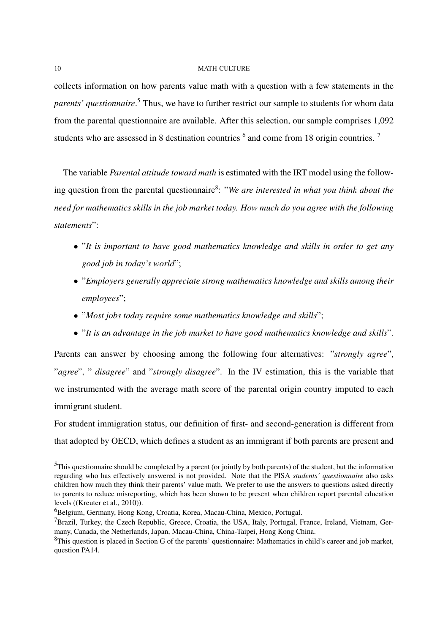collects information on how parents value math with a question with a few statements in the *parents' questionnaire*. <sup>5</sup> Thus, we have to further restrict our sample to students for whom data from the parental questionnaire are available. After this selection, our sample comprises 1,092 students who are assessed in 8 destination countries  $<sup>6</sup>$  and come from 18 origin countries. <sup>7</sup></sup>

The variable *Parental attitude toward math* is estimated with the IRT model using the following question from the parental questionnaire<sup>8</sup>: "We are interested in what you think about the *need for mathematics skills in the job market today. How much do you agree with the following statements*":

- "*It is important to have good mathematics knowledge and skills in order to get any good job in today's world*";
- "*Employers generally appreciate strong mathematics knowledge and skills among their employees*";
- "*Most jobs today require some mathematics knowledge and skills*";
- "*It is an advantage in the job market to have good mathematics knowledge and skills*".

Parents can answer by choosing among the following four alternatives: "*strongly agree*", "*agree*", " *disagree*" and "*strongly disagree*". In the IV estimation, this is the variable that we instrumented with the average math score of the parental origin country imputed to each immigrant student.

For student immigration status, our definition of first- and second-generation is different from that adopted by OECD, which defines a student as an immigrant if both parents are present and

<sup>5</sup>This questionnaire should be completed by a parent (or jointly by both parents) of the student, but the information regarding who has effectively answered is not provided. Note that the PISA *students' questionnaire* also asks children how much they think their parents' value math. We prefer to use the answers to questions asked directly to parents to reduce misreporting, which has been shown to be present when children report parental education levels ((Kreuter et al., 2010)).

<sup>&</sup>lt;sup>6</sup>Belgium, Germany, Hong Kong, Croatia, Korea, Macau-China, Mexico, Portugal.

 ${}^{7}$ Brazil, Turkey, the Czech Republic, Greece, Croatia, the USA, Italy, Portugal, France, Ireland, Vietnam, Germany, Canada, the Netherlands, Japan, Macau-China, China-Taipei, Hong Kong China.

 ${}^{8}$ This question is placed in Section G of the parents' questionnaire: Mathematics in child's career and job market, question PA14.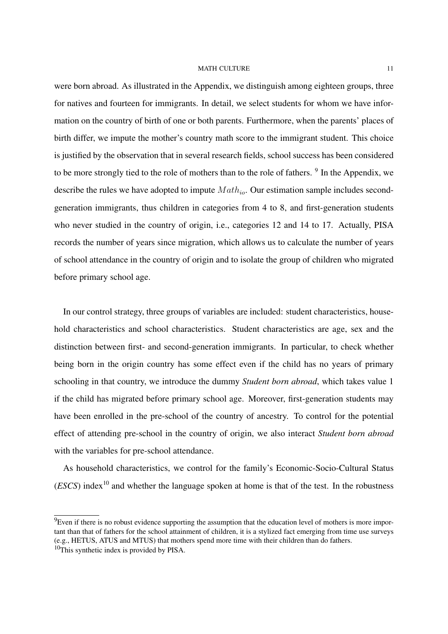were born abroad. As illustrated in the Appendix, we distinguish among eighteen groups, three for natives and fourteen for immigrants. In detail, we select students for whom we have information on the country of birth of one or both parents. Furthermore, when the parents' places of birth differ, we impute the mother's country math score to the immigrant student. This choice is justified by the observation that in several research fields, school success has been considered to be more strongly tied to the role of mothers than to the role of fathers. <sup>9</sup> In the Appendix, we describe the rules we have adopted to impute  $Math_{io}$ . Our estimation sample includes secondgeneration immigrants, thus children in categories from 4 to 8, and first-generation students who never studied in the country of origin, i.e., categories 12 and 14 to 17. Actually, PISA records the number of years since migration, which allows us to calculate the number of years of school attendance in the country of origin and to isolate the group of children who migrated before primary school age.

In our control strategy, three groups of variables are included: student characteristics, household characteristics and school characteristics. Student characteristics are age, sex and the distinction between first- and second-generation immigrants. In particular, to check whether being born in the origin country has some effect even if the child has no years of primary schooling in that country, we introduce the dummy *Student born abroad*, which takes value 1 if the child has migrated before primary school age. Moreover, first-generation students may have been enrolled in the pre-school of the country of ancestry. To control for the potential effect of attending pre-school in the country of origin, we also interact *Student born abroad* with the variables for pre-school attendance.

As household characteristics, we control for the family's Economic-Socio-Cultural Status  $(ESCS)$  index<sup>10</sup> and whether the language spoken at home is that of the test. In the robustness

 ${}^{9}$ Even if there is no robust evidence supporting the assumption that the education level of mothers is more important than that of fathers for the school attainment of children, it is a stylized fact emerging from time use surveys (e.g., HETUS, ATUS and MTUS) that mothers spend more time with their children than do fathers.

 $10$ This synthetic index is provided by PISA.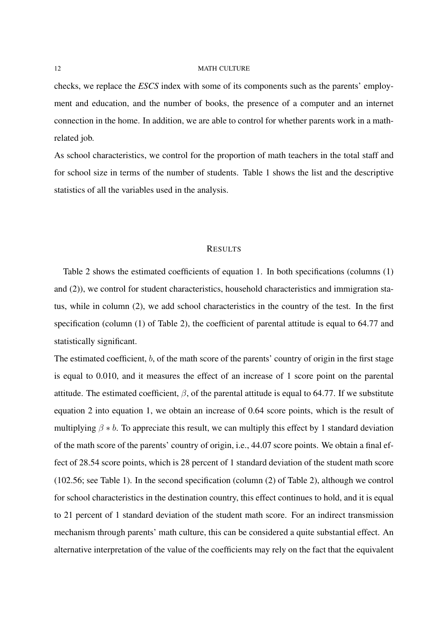checks, we replace the *ESCS* index with some of its components such as the parents' employment and education, and the number of books, the presence of a computer and an internet connection in the home. In addition, we are able to control for whether parents work in a mathrelated job.

As school characteristics, we control for the proportion of math teachers in the total staff and for school size in terms of the number of students. Table 1 shows the list and the descriptive statistics of all the variables used in the analysis.

#### RESULTS

Table 2 shows the estimated coefficients of equation 1. In both specifications (columns (1) and (2)), we control for student characteristics, household characteristics and immigration status, while in column (2), we add school characteristics in the country of the test. In the first specification (column (1) of Table 2), the coefficient of parental attitude is equal to 64.77 and statistically significant.

The estimated coefficient, b, of the math score of the parents' country of origin in the first stage is equal to 0.010, and it measures the effect of an increase of 1 score point on the parental attitude. The estimated coefficient,  $\beta$ , of the parental attitude is equal to 64.77. If we substitute equation 2 into equation 1, we obtain an increase of 0.64 score points, which is the result of multiplying  $\beta * b$ . To appreciate this result, we can multiply this effect by 1 standard deviation of the math score of the parents' country of origin, i.e., 44.07 score points. We obtain a final effect of 28.54 score points, which is 28 percent of 1 standard deviation of the student math score (102.56; see Table 1). In the second specification (column (2) of Table 2), although we control for school characteristics in the destination country, this effect continues to hold, and it is equal to 21 percent of 1 standard deviation of the student math score. For an indirect transmission mechanism through parents' math culture, this can be considered a quite substantial effect. An alternative interpretation of the value of the coefficients may rely on the fact that the equivalent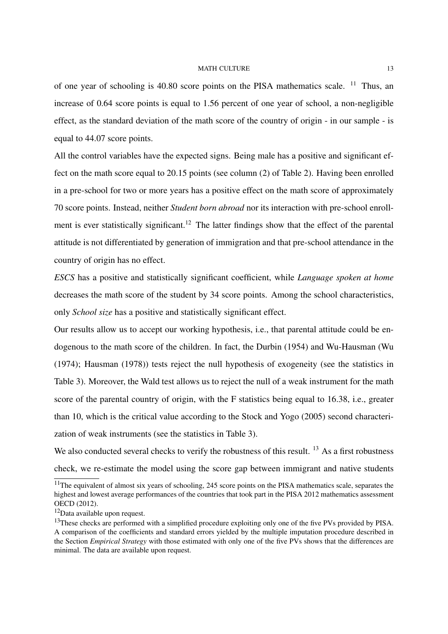of one year of schooling is 40.80 score points on the PISA mathematics scale.  $11$  Thus, an increase of 0.64 score points is equal to 1.56 percent of one year of school, a non-negligible effect, as the standard deviation of the math score of the country of origin - in our sample - is equal to 44.07 score points.

All the control variables have the expected signs. Being male has a positive and significant effect on the math score equal to 20.15 points (see column (2) of Table 2). Having been enrolled in a pre-school for two or more years has a positive effect on the math score of approximately 70 score points. Instead, neither *Student born abroad* nor its interaction with pre-school enrollment is ever statistically significant.<sup>12</sup> The latter findings show that the effect of the parental attitude is not differentiated by generation of immigration and that pre-school attendance in the country of origin has no effect.

*ESCS* has a positive and statistically significant coefficient, while *Language spoken at home* decreases the math score of the student by 34 score points. Among the school characteristics, only *School size* has a positive and statistically significant effect.

Our results allow us to accept our working hypothesis, i.e., that parental attitude could be endogenous to the math score of the children. In fact, the Durbin (1954) and Wu-Hausman (Wu (1974); Hausman (1978)) tests reject the null hypothesis of exogeneity (see the statistics in Table 3). Moreover, the Wald test allows us to reject the null of a weak instrument for the math score of the parental country of origin, with the F statistics being equal to 16.38, i.e., greater than 10, which is the critical value according to the Stock and Yogo (2005) second characterization of weak instruments (see the statistics in Table 3).

We also conducted several checks to verify the robustness of this result. <sup>13</sup> As a first robustness check, we re-estimate the model using the score gap between immigrant and native students

 $11$ The equivalent of almost six years of schooling, 245 score points on the PISA mathematics scale, separates the highest and lowest average performances of the countries that took part in the PISA 2012 mathematics assessment OECD (2012).

<sup>12</sup>Data available upon request.

<sup>&</sup>lt;sup>13</sup>These checks are performed with a simplified procedure exploiting only one of the five PVs provided by PISA. A comparison of the coefficients and standard errors yielded by the multiple imputation procedure described in the Section *Empirical Strategy* with those estimated with only one of the five PVs shows that the differences are minimal. The data are available upon request.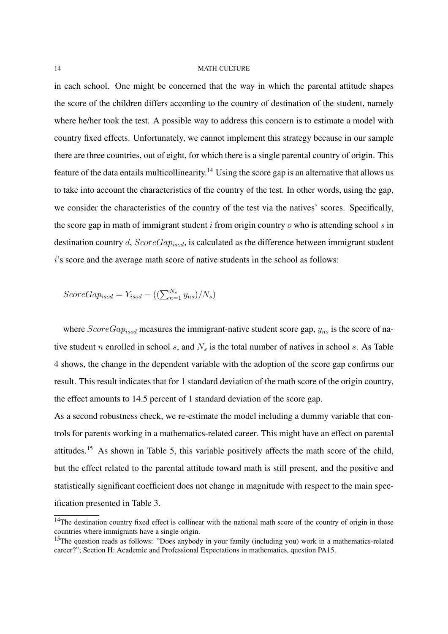in each school. One might be concerned that the way in which the parental attitude shapes the score of the children differs according to the country of destination of the student, namely where he/her took the test. A possible way to address this concern is to estimate a model with country fixed effects. Unfortunately, we cannot implement this strategy because in our sample there are three countries, out of eight, for which there is a single parental country of origin. This feature of the data entails multicollinearity.<sup>14</sup> Using the score gap is an alternative that allows us to take into account the characteristics of the country of the test. In other words, using the gap, we consider the characteristics of the country of the test via the natives' scores. Specifically, the score gap in math of immigrant student  $i$  from origin country  $o$  who is attending school  $s$  in destination country d,  $ScoreGap_{isod}$ , is calculated as the difference between immigrant student i's score and the average math score of native students in the school as follows:

$$
ScoreGap_{isod} = Y_{isod} - ((\sum_{n=1}^{N_s} y_{ns})/N_s)
$$

where  $ScoreGap_{isod}$  measures the immigrant-native student score gap,  $y_{ns}$  is the score of native student n enrolled in school s, and  $N<sub>s</sub>$  is the total number of natives in school s. As Table 4 shows, the change in the dependent variable with the adoption of the score gap confirms our result. This result indicates that for 1 standard deviation of the math score of the origin country, the effect amounts to 14.5 percent of 1 standard deviation of the score gap.

As a second robustness check, we re-estimate the model including a dummy variable that controls for parents working in a mathematics-related career. This might have an effect on parental attitudes.<sup>15</sup> As shown in Table 5, this variable positively affects the math score of the child, but the effect related to the parental attitude toward math is still present, and the positive and statistically significant coefficient does not change in magnitude with respect to the main specification presented in Table 3.

<sup>&</sup>lt;sup>14</sup>The destination country fixed effect is collinear with the national math score of the country of origin in those countries where immigrants have a single origin.

<sup>&</sup>lt;sup>15</sup>The question reads as follows: "Does anybody in your family (including you) work in a mathematics-related career?"; Section H: Academic and Professional Expectations in mathematics, question PA15.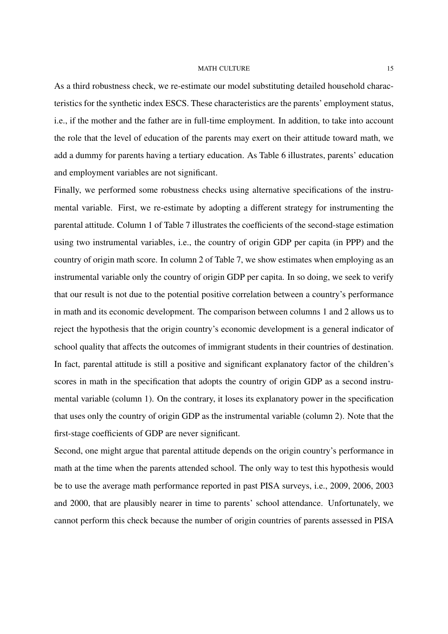As a third robustness check, we re-estimate our model substituting detailed household characteristics for the synthetic index ESCS. These characteristics are the parents' employment status, i.e., if the mother and the father are in full-time employment. In addition, to take into account the role that the level of education of the parents may exert on their attitude toward math, we add a dummy for parents having a tertiary education. As Table 6 illustrates, parents' education and employment variables are not significant.

Finally, we performed some robustness checks using alternative specifications of the instrumental variable. First, we re-estimate by adopting a different strategy for instrumenting the parental attitude. Column 1 of Table 7 illustrates the coefficients of the second-stage estimation using two instrumental variables, i.e., the country of origin GDP per capita (in PPP) and the country of origin math score. In column 2 of Table 7, we show estimates when employing as an instrumental variable only the country of origin GDP per capita. In so doing, we seek to verify that our result is not due to the potential positive correlation between a country's performance in math and its economic development. The comparison between columns 1 and 2 allows us to reject the hypothesis that the origin country's economic development is a general indicator of school quality that affects the outcomes of immigrant students in their countries of destination. In fact, parental attitude is still a positive and significant explanatory factor of the children's scores in math in the specification that adopts the country of origin GDP as a second instrumental variable (column 1). On the contrary, it loses its explanatory power in the specification that uses only the country of origin GDP as the instrumental variable (column 2). Note that the first-stage coefficients of GDP are never significant.

Second, one might argue that parental attitude depends on the origin country's performance in math at the time when the parents attended school. The only way to test this hypothesis would be to use the average math performance reported in past PISA surveys, i.e., 2009, 2006, 2003 and 2000, that are plausibly nearer in time to parents' school attendance. Unfortunately, we cannot perform this check because the number of origin countries of parents assessed in PISA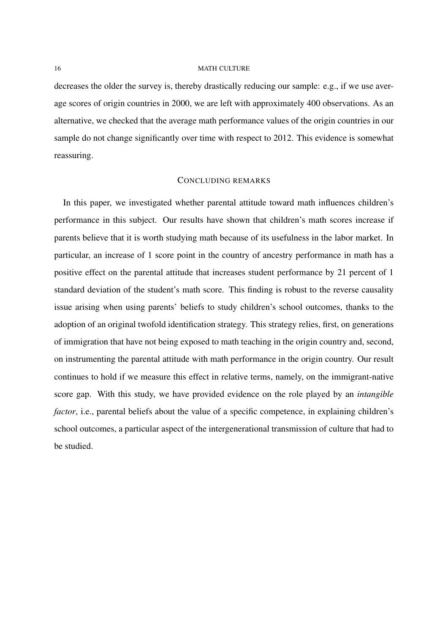decreases the older the survey is, thereby drastically reducing our sample: e.g., if we use average scores of origin countries in 2000, we are left with approximately 400 observations. As an alternative, we checked that the average math performance values of the origin countries in our sample do not change significantly over time with respect to 2012. This evidence is somewhat reassuring.

# CONCLUDING REMARKS

In this paper, we investigated whether parental attitude toward math influences children's performance in this subject. Our results have shown that children's math scores increase if parents believe that it is worth studying math because of its usefulness in the labor market. In particular, an increase of 1 score point in the country of ancestry performance in math has a positive effect on the parental attitude that increases student performance by 21 percent of 1 standard deviation of the student's math score. This finding is robust to the reverse causality issue arising when using parents' beliefs to study children's school outcomes, thanks to the adoption of an original twofold identification strategy. This strategy relies, first, on generations of immigration that have not being exposed to math teaching in the origin country and, second, on instrumenting the parental attitude with math performance in the origin country. Our result continues to hold if we measure this effect in relative terms, namely, on the immigrant-native score gap. With this study, we have provided evidence on the role played by an *intangible factor*, i.e., parental beliefs about the value of a specific competence, in explaining children's school outcomes, a particular aspect of the intergenerational transmission of culture that had to be studied.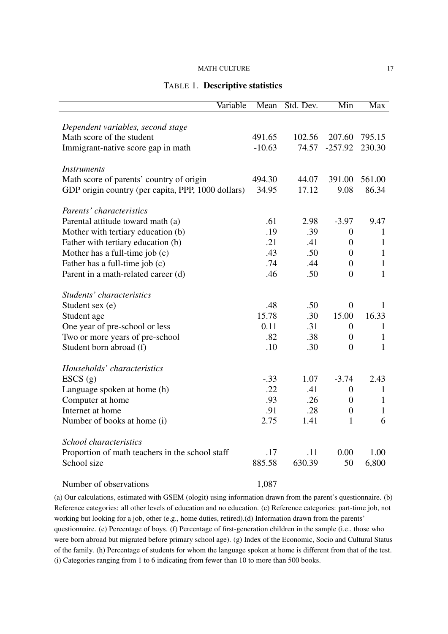# TABLE 1. Descriptive statistics

| Variable                                           | Mean     | Std. Dev. | Min              | <b>Max</b>   |
|----------------------------------------------------|----------|-----------|------------------|--------------|
|                                                    |          |           |                  |              |
| Dependent variables, second stage                  |          |           |                  |              |
| Math score of the student                          | 491.65   | 102.56    | 207.60           | 795.15       |
| Immigrant-native score gap in math                 | $-10.63$ | 74.57     | $-257.92$        | 230.30       |
|                                                    |          |           |                  |              |
| <b>Instruments</b>                                 |          |           |                  |              |
| Math score of parents' country of origin           | 494.30   | 44.07     | 391.00           | 561.00       |
| GDP origin country (per capita, PPP, 1000 dollars) | 34.95    | 17.12     | 9.08             | 86.34        |
| Parents' characteristics                           |          |           |                  |              |
| Parental attitude toward math (a)                  | .61      | 2.98      | $-3.97$          | 9.47         |
| Mother with tertiary education (b)                 | .19      | .39       | $\boldsymbol{0}$ | 1            |
| Father with tertiary education (b)                 | .21      | .41       | $\overline{0}$   | $\mathbf{1}$ |
| Mother has a full-time job (c)                     | .43      | .50       | $\overline{0}$   | $\mathbf{1}$ |
| Father has a full-time job (c)                     | .74      | .44       | $\overline{0}$   | $\mathbf{1}$ |
| Parent in a math-related career (d)                | .46      | .50       | $\overline{0}$   | $\mathbf{1}$ |
|                                                    |          |           |                  |              |
| Students' characteristics                          |          |           |                  |              |
| Student sex (e)                                    | .48      | .50       | $\overline{0}$   | 1            |
| Student age                                        | 15.78    | .30       | 15.00            | 16.33        |
| One year of pre-school or less                     | 0.11     | .31       | $\boldsymbol{0}$ | $\mathbf{1}$ |
| Two or more years of pre-school                    | .82      | .38       | $\boldsymbol{0}$ | $\mathbf{1}$ |
| Student born abroad (f)                            | .10      | .30       | $\overline{0}$   | $\mathbf{1}$ |
| Households' characteristics                        |          |           |                  |              |
| ESCS(g)                                            | $-.33$   | 1.07      | $-3.74$          | 2.43         |
| Language spoken at home (h)                        | .22      | .41       | $\boldsymbol{0}$ | $\mathbf{1}$ |
| Computer at home                                   | .93      | .26       | $\boldsymbol{0}$ | $\mathbf{1}$ |
| Internet at home                                   | .91      | .28       | $\boldsymbol{0}$ | $\mathbf{1}$ |
| Number of books at home (i)                        | 2.75     | 1.41      | $\mathbf{1}$     | 6            |
|                                                    |          |           |                  |              |
| School characteristics                             |          |           |                  |              |
| Proportion of math teachers in the school staff    | .17      | .11       | 0.00             | 1.00         |
| School size                                        | 885.58   | 630.39    | 50               | 6,800        |
| Number of observations                             | 1,087    |           |                  |              |

(a) Our calculations, estimated with GSEM (ologit) using information drawn from the parent's questionnaire. (b) Reference categories: all other levels of education and no education. (c) Reference categories: part-time job, not working but looking for a job, other (e.g., home duties, retired).(d) Information drawn from the parents' questionnaire. (e) Percentage of boys. (f) Percentage of first-generation children in the sample (i.e., those who were born abroad but migrated before primary school age). (g) Index of the Economic, Socio and Cultural Status of the family. (h) Percentage of students for whom the language spoken at home is different from that of the test. (i) Categories ranging from 1 to 6 indicating from fewer than 10 to more than 500 books.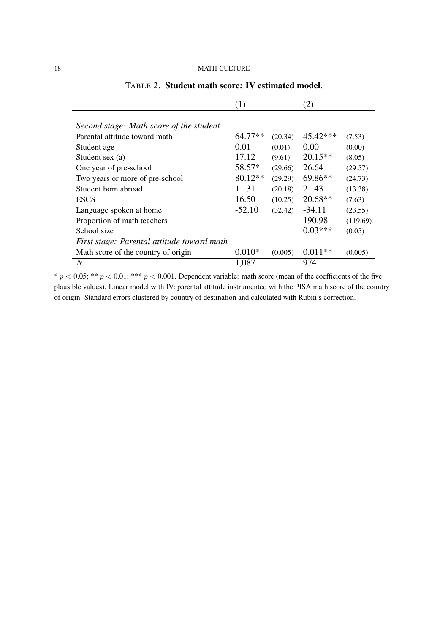|                                            | (1)      |         | (2)       |          |
|--------------------------------------------|----------|---------|-----------|----------|
|                                            |          |         |           |          |
| Second stage: Math score of the student    |          |         |           |          |
| Parental attitude toward math              | 64.77**  | (20.34) | 45.42***  | (7.53)   |
| Student age                                | 0.01     | (0.01)  | 0.00      | (0.00)   |
| Student sex (a)                            | 17.12    | (9.61)  | $20.15**$ | (8.05)   |
| One year of pre-school                     | 58.57*   | (29.66) | 26.64     | (29.57)  |
| Two years or more of pre-school            | 80.12**  | (29.29) | 69.86**   | (24.73)  |
| Student born abroad                        | 11.31    | (20.18) | 21.43     | (13.38)  |
| <b>ESCS</b>                                | 16.50    | (10.25) | $20.68**$ | (7.63)   |
| Language spoken at home                    | $-52.10$ | (32.42) | $-34.11$  | (23.55)  |
| Proportion of math teachers                |          |         | 190.98    | (119.69) |
| School size                                |          |         | $0.03***$ | (0.05)   |
| First stage: Parental attitude toward math |          |         |           |          |
| Math score of the country of origin        | $0.010*$ | (0.005) | $0.011**$ | (0.005)  |
| N                                          | 1,087    |         | 974       |          |

TABLE 2. Student math score: IV estimated model.

 $* p < 0.05; ** p < 0.01; *** p < 0.001$ . Dependent variable: math score (mean of the coefficients of the five plausible values). Linear model with IV: parental attitude instrumented with the PISA math score of the country of origin. Standard errors clustered by country of destination and calculated with Rubin's correction.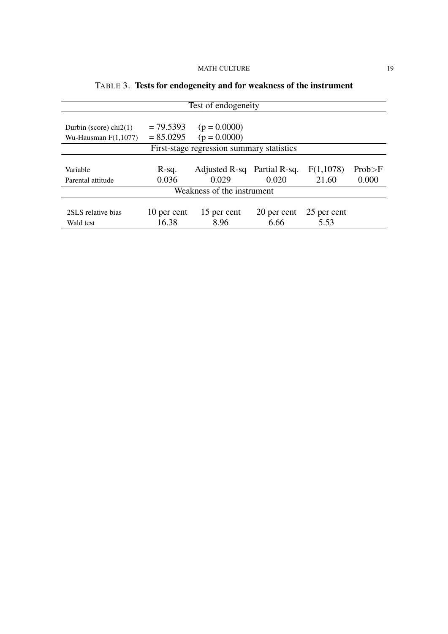| Test of endogeneity                       |             |                             |             |             |          |  |
|-------------------------------------------|-------------|-----------------------------|-------------|-------------|----------|--|
|                                           |             |                             |             |             |          |  |
| Durbin (score) $chi2(1)$                  | $= 79.5393$ | $(p = 0.0000)$              |             |             |          |  |
| Wu-Hausman $F(1,1077)$                    | $= 85.0295$ | $(p = 0.0000)$              |             |             |          |  |
| First-stage regression summary statistics |             |                             |             |             |          |  |
|                                           |             |                             |             |             |          |  |
| Variable                                  | R-sq.       | Adjusted R-sq Partial R-sq. |             | F(1,1078)   | Prob > F |  |
| Parental attitude                         | 0.036       | 0.029                       | 0.020       | 21.60       | 0.000    |  |
| Weakness of the instrument                |             |                             |             |             |          |  |
|                                           |             |                             |             |             |          |  |
| 2SLS relative bias                        | 10 per cent | 15 per cent                 | 20 per cent | 25 per cent |          |  |
| Wald test                                 | 16.38       | 8.96                        | 6.66        | 5.53        |          |  |

# TABLE 3. Tests for endogeneity and for weakness of the instrument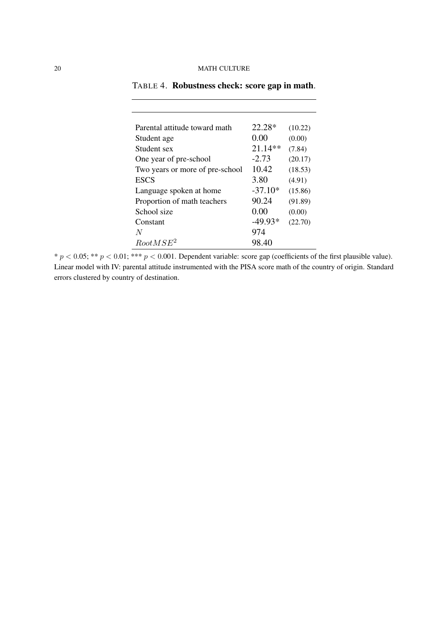| Parental attitude toward math   | 22.28*    | (10.22) |
|---------------------------------|-----------|---------|
| Student age                     | 0.00      | (0.00)  |
| Student sex                     | $21.14**$ | (7.84)  |
| One year of pre-school          | $-2.73$   | (20.17) |
| Two years or more of pre-school | 10.42     | (18.53) |
| <b>ESCS</b>                     | 3.80      | (4.91)  |
| Language spoken at home         | $-37.10*$ | (15.86) |
| Proportion of math teachers     | 90.24     | (91.89) |
| School size                     | 0.00      | (0.00)  |
| Constant                        | $-49.93*$ | (22.70) |
| N                               | 974       |         |
| RootMSE <sup>2</sup>            | 98.40     |         |

TABLE 4. Robustness check: score gap in math.

\*  $p < 0.05$ ; \*\*  $p < 0.01$ ; \*\*\*  $p < 0.001$ . Dependent variable: score gap (coefficients of the first plausible value). Linear model with IV: parental attitude instrumented with the PISA score math of the country of origin. Standard errors clustered by country of destination.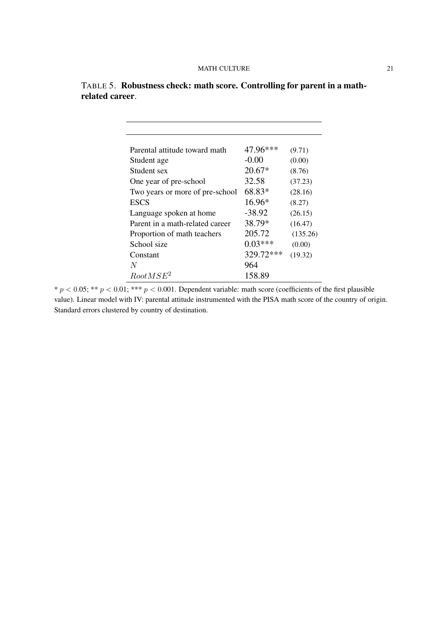| Parental attitude toward math   | 47.96***  | (9.71)   |
|---------------------------------|-----------|----------|
| Student age                     | $-0.00$   | (0.00)   |
| Student sex                     | $20.67*$  | (8.76)   |
| One year of pre-school          | 32.58     | (37.23)  |
| Two years or more of pre-school | 68.83*    | (28.16)  |
| <b>ESCS</b>                     | $16.96*$  | (8.27)   |
| Language spoken at home         | $-38.92$  | (26.15)  |
| Parent in a math-related career | 38.79*    | (16.47)  |
| Proportion of math teachers     | 205.72    | (135.26) |
| School size                     | $0.03***$ | (0.00)   |
| Constant                        | 329.72*** | (19.32)  |
| N                               | 964       |          |
| $RootMSE^2$                     | 158.89    |          |

|                 | TABLE 5. Robustness check: math score. Controlling for parent in a math- |  |  |
|-----------------|--------------------------------------------------------------------------|--|--|
| related career. |                                                                          |  |  |

 $* p < 0.05; ** p < 0.01; *** p < 0.001$ . Dependent variable: math score (coefficients of the first plausible value). Linear model with IV: parental attitude instrumented with the PISA math score of the country of origin. Standard errors clustered by country of destination.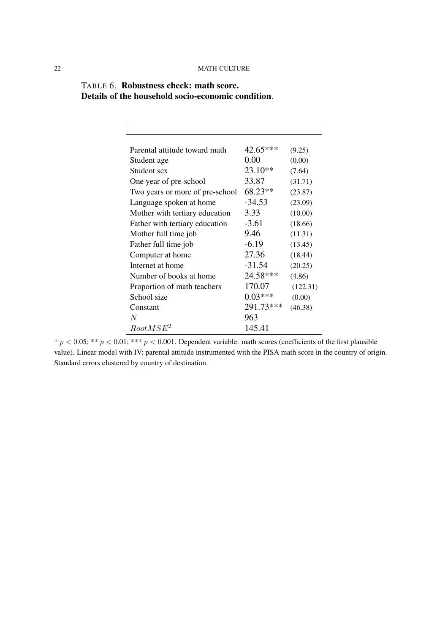| Parental attitude toward math   | 42.65***  | (9.25)   |
|---------------------------------|-----------|----------|
| Student age                     | 0.00      | (0.00)   |
| Student sex                     | $23.10**$ | (7.64)   |
| One year of pre-school          | 33.87     | (31.71)  |
| Two years or more of pre-school | 68.23**   | (23.87)  |
| Language spoken at home         | $-34.53$  | (23.09)  |
| Mother with tertiary education  | 3.33      | (10.00)  |
| Father with tertiary education  | $-3.61$   | (18.66)  |
| Mother full time job            | 9.46      | (11.31)  |
| Father full time job            | $-6.19$   | (13.45)  |
| Computer at home                | 27.36     | (18.44)  |
| Internet at home                | $-31.54$  | (20.25)  |
| Number of books at home         | 24.58***  | (4.86)   |
| Proportion of math teachers     | 170.07    | (122.31) |
| School size                     | $0.03***$ | (0.00)   |
| Constant                        | 291.73*** | (46.38)  |
| N                               | 963       |          |
| RootMSE <sup>2</sup>            | 145.41    |          |

TABLE 6. Robustness check: math score. Details of the household socio-economic condition.

 $* p < 0.05; ** p < 0.01; *** p < 0.001$ . Dependent variable: math scores (coefficients of the first plausible value). Linear model with IV: parental attitude instrumented with the PISA math score in the country of origin. Standard errors clustered by country of destination.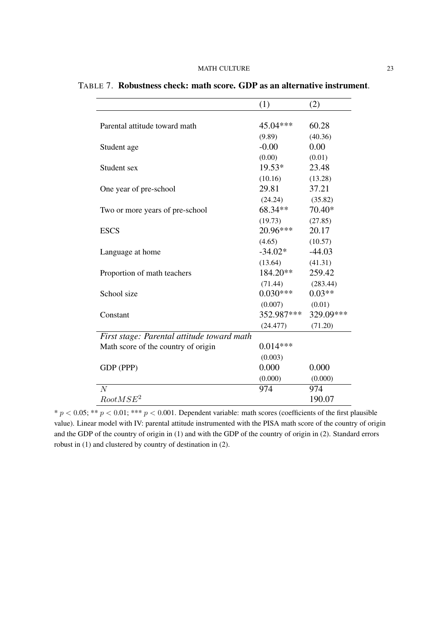|                                            | (1)        | (2)       |
|--------------------------------------------|------------|-----------|
|                                            |            |           |
| Parental attitude toward math              | 45.04***   | 60.28     |
|                                            | (9.89)     | (40.36)   |
| Student age                                | $-0.00$    | 0.00      |
|                                            | (0.00)     | (0.01)    |
| Student sex                                | 19.53*     | 23.48     |
|                                            | (10.16)    | (13.28)   |
| One year of pre-school                     | 29.81      | 37.21     |
|                                            | (24.24)    | (35.82)   |
| Two or more years of pre-school            | 68.34**    | 70.40*    |
|                                            | (19.73)    | (27.85)   |
| <b>ESCS</b>                                | 20.96***   | 20.17     |
|                                            | (4.65)     | (10.57)   |
| Language at home                           | $-34.02*$  | $-44.03$  |
|                                            | (13.64)    | (41.31)   |
| Proportion of math teachers                | 184.20**   | 259.42    |
|                                            | (71.44)    | (283.44)  |
| School size                                | $0.030***$ | $0.03**$  |
|                                            | (0.007)    | (0.01)    |
| Constant                                   | 352.987*** | 329.09*** |
|                                            | (24.477)   | (71.20)   |
| First stage: Parental attitude toward math |            |           |
| Math score of the country of origin        | $0.014***$ |           |
|                                            | (0.003)    |           |
| GDP (PPP)                                  | 0.000      | 0.000     |
|                                            | (0.000)    | (0.000)   |
| $\overline{N}$                             | 974        | 974       |
| RootMSE <sup>2</sup>                       |            | 190.07    |

TABLE 7. Robustness check: math score. GDP as an alternative instrument.

\*  $p < 0.05$ ; \*\*  $p < 0.01$ ; \*\*\*  $p < 0.001$ . Dependent variable: math scores (coefficients of the first plausible value). Linear model with IV: parental attitude instrumented with the PISA math score of the country of origin and the GDP of the country of origin in (1) and with the GDP of the country of origin in (2). Standard errors robust in (1) and clustered by country of destination in (2).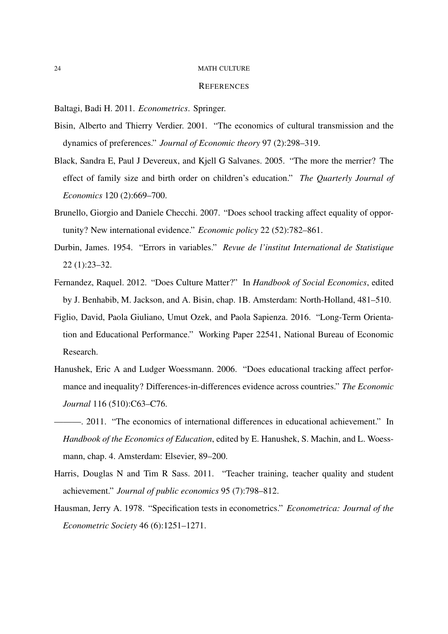#### **REFERENCES**

Baltagi, Badi H. 2011. *Econometrics*. Springer.

- Bisin, Alberto and Thierry Verdier. 2001. "The economics of cultural transmission and the dynamics of preferences." *Journal of Economic theory* 97 (2):298–319.
- Black, Sandra E, Paul J Devereux, and Kjell G Salvanes. 2005. "The more the merrier? The effect of family size and birth order on children's education." *The Quarterly Journal of Economics* 120 (2):669–700.
- Brunello, Giorgio and Daniele Checchi. 2007. "Does school tracking affect equality of opportunity? New international evidence." *Economic policy* 22 (52):782–861.
- Durbin, James. 1954. "Errors in variables." *Revue de l'institut International de Statistique* 22 (1):23–32.
- Fernandez, Raquel. 2012. "Does Culture Matter?" In *Handbook of Social Economics*, edited by J. Benhabib, M. Jackson, and A. Bisin, chap. 1B. Amsterdam: North-Holland, 481–510.
- Figlio, David, Paola Giuliano, Umut Ozek, and Paola Sapienza. 2016. "Long-Term Orientation and Educational Performance." Working Paper 22541, National Bureau of Economic Research.
- Hanushek, Eric A and Ludger Woessmann. 2006. "Does educational tracking affect performance and inequality? Differences-in-differences evidence across countries." *The Economic Journal* 116 (510):C63–C76.
- ———. 2011. "The economics of international differences in educational achievement." In *Handbook of the Economics of Education*, edited by E. Hanushek, S. Machin, and L. Woessmann, chap. 4. Amsterdam: Elsevier, 89–200.
- Harris, Douglas N and Tim R Sass. 2011. "Teacher training, teacher quality and student achievement." *Journal of public economics* 95 (7):798–812.
- Hausman, Jerry A. 1978. "Specification tests in econometrics." *Econometrica: Journal of the Econometric Society* 46 (6):1251–1271.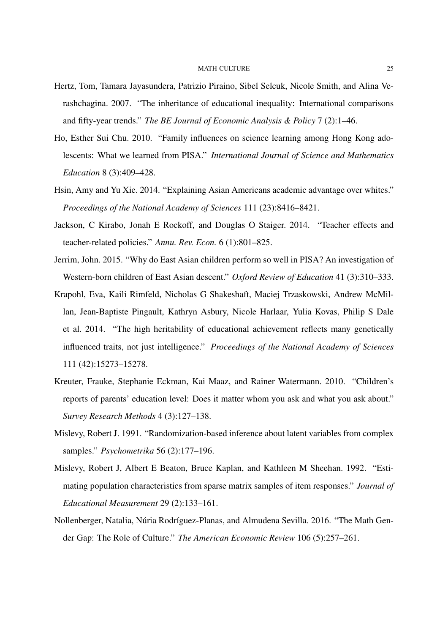- Hertz, Tom, Tamara Jayasundera, Patrizio Piraino, Sibel Selcuk, Nicole Smith, and Alina Verashchagina. 2007. "The inheritance of educational inequality: International comparisons and fifty-year trends." *The BE Journal of Economic Analysis & Policy* 7 (2):1–46.
- Ho, Esther Sui Chu. 2010. "Family influences on science learning among Hong Kong adolescents: What we learned from PISA." *International Journal of Science and Mathematics Education* 8 (3):409–428.
- Hsin, Amy and Yu Xie. 2014. "Explaining Asian Americans academic advantage over whites." *Proceedings of the National Academy of Sciences* 111 (23):8416–8421.
- Jackson, C Kirabo, Jonah E Rockoff, and Douglas O Staiger. 2014. "Teacher effects and teacher-related policies." *Annu. Rev. Econ.* 6 (1):801–825.
- Jerrim, John. 2015. "Why do East Asian children perform so well in PISA? An investigation of Western-born children of East Asian descent." *Oxford Review of Education* 41 (3):310–333.
- Krapohl, Eva, Kaili Rimfeld, Nicholas G Shakeshaft, Maciej Trzaskowski, Andrew McMillan, Jean-Baptiste Pingault, Kathryn Asbury, Nicole Harlaar, Yulia Kovas, Philip S Dale et al. 2014. "The high heritability of educational achievement reflects many genetically influenced traits, not just intelligence." *Proceedings of the National Academy of Sciences* 111 (42):15273–15278.
- Kreuter, Frauke, Stephanie Eckman, Kai Maaz, and Rainer Watermann. 2010. "Children's reports of parents' education level: Does it matter whom you ask and what you ask about." *Survey Research Methods* 4 (3):127–138.
- Mislevy, Robert J. 1991. "Randomization-based inference about latent variables from complex samples." *Psychometrika* 56 (2):177–196.
- Mislevy, Robert J, Albert E Beaton, Bruce Kaplan, and Kathleen M Sheehan. 1992. "Estimating population characteristics from sparse matrix samples of item responses." *Journal of Educational Measurement* 29 (2):133–161.
- Nollenberger, Natalia, Núria Rodríguez-Planas, and Almudena Sevilla. 2016. "The Math Gender Gap: The Role of Culture." *The American Economic Review* 106 (5):257–261.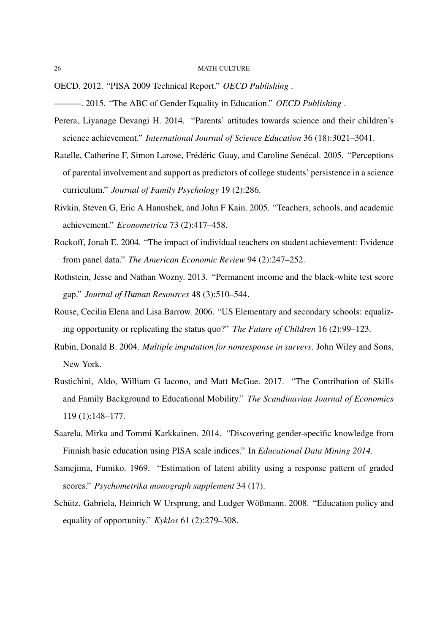OECD. 2012. "PISA 2009 Technical Report." *OECD Publishing* .

———. 2015. "The ABC of Gender Equality in Education." *OECD Publishing* .

- Perera, Liyanage Devangi H. 2014. "Parents' attitudes towards science and their children's science achievement." *International Journal of Science Education* 36 (18):3021–3041.
- Ratelle, Catherine F, Simon Larose, Frédéric Guay, and Caroline Senécal. 2005. "Perceptions of parental involvement and support as predictors of college students' persistence in a science curriculum." *Journal of Family Psychology* 19 (2):286.
- Rivkin, Steven G, Eric A Hanushek, and John F Kain. 2005. "Teachers, schools, and academic achievement." *Econometrica* 73 (2):417–458.
- Rockoff, Jonah E. 2004. "The impact of individual teachers on student achievement: Evidence from panel data." *The American Economic Review* 94 (2):247–252.
- Rothstein, Jesse and Nathan Wozny. 2013. "Permanent income and the black-white test score gap." *Journal of Human Resources* 48 (3):510–544.
- Rouse, Cecilia Elena and Lisa Barrow. 2006. "US Elementary and secondary schools: equalizing opportunity or replicating the status quo?" *The Future of Children* 16 (2):99–123.
- Rubin, Donald B. 2004. *Multiple imputation for nonresponse in surveys*. John Wiley and Sons, New York.
- Rustichini, Aldo, William G Iacono, and Matt McGue. 2017. "The Contribution of Skills and Family Background to Educational Mobility." *The Scandinavian Journal of Economics* 119 (1):148–177.
- Saarela, Mirka and Tommi Karkkainen. 2014. "Discovering gender-specific knowledge from Finnish basic education using PISA scale indices." In *Educational Data Mining 2014*.
- Samejima, Fumiko. 1969. "Estimation of latent ability using a response pattern of graded scores." *Psychometrika monograph supplement* 34 (17).
- Schütz, Gabriela, Heinrich W Ursprung, and Ludger Wößmann. 2008. "Education policy and equality of opportunity." *Kyklos* 61 (2):279–308.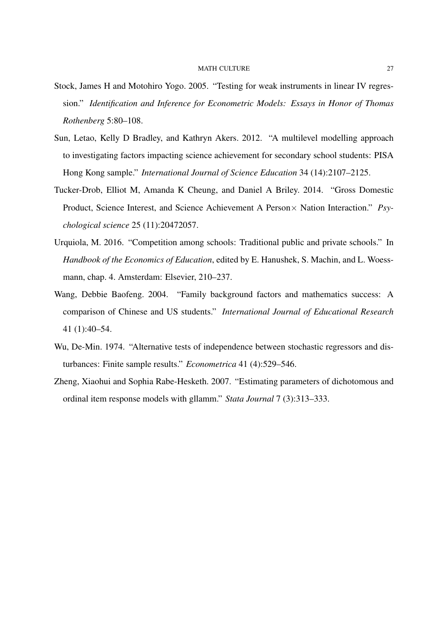- Stock, James H and Motohiro Yogo. 2005. "Testing for weak instruments in linear IV regression." *Identification and Inference for Econometric Models: Essays in Honor of Thomas Rothenberg* 5:80–108.
- Sun, Letao, Kelly D Bradley, and Kathryn Akers. 2012. "A multilevel modelling approach to investigating factors impacting science achievement for secondary school students: PISA Hong Kong sample." *International Journal of Science Education* 34 (14):2107–2125.
- Tucker-Drob, Elliot M, Amanda K Cheung, and Daniel A Briley. 2014. "Gross Domestic Product, Science Interest, and Science Achievement A Person× Nation Interaction." *Psychological science* 25 (11):20472057.
- Urquiola, M. 2016. "Competition among schools: Traditional public and private schools." In *Handbook of the Economics of Education*, edited by E. Hanushek, S. Machin, and L. Woessmann, chap. 4. Amsterdam: Elsevier, 210–237.
- Wang, Debbie Baofeng. 2004. "Family background factors and mathematics success: A comparison of Chinese and US students." *International Journal of Educational Research* 41 (1):40–54.
- Wu, De-Min. 1974. "Alternative tests of independence between stochastic regressors and disturbances: Finite sample results." *Econometrica* 41 (4):529–546.
- Zheng, Xiaohui and Sophia Rabe-Hesketh. 2007. "Estimating parameters of dichotomous and ordinal item response models with gllamm." *Stata Journal* 7 (3):313–333.